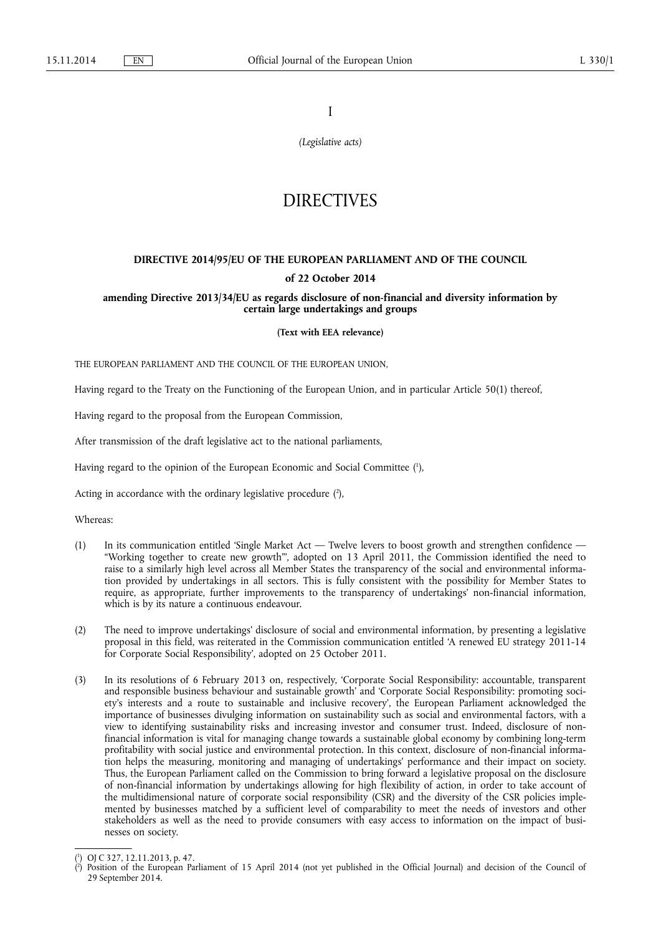I

*(Legislative acts)* 

# **DIRECTIVES**

## **DIRECTIVE 2014/95/EU OF THE EUROPEAN PARLIAMENT AND OF THE COUNCIL**

# **of 22 October 2014**

**amending Directive 2013/34/EU as regards disclosure of non-financial and diversity information by certain large undertakings and groups** 

**(Text with EEA relevance)** 

THE EUROPEAN PARLIAMENT AND THE COUNCIL OF THE EUROPEAN UNION,

Having regard to the Treaty on the Functioning of the European Union, and in particular Article 50(1) thereof,

Having regard to the proposal from the European Commission,

After transmission of the draft legislative act to the national parliaments,

Having regard to the opinion of the European Economic and Social Committee ( 1 ),

Acting in accordance with the ordinary legislative procedure (2),

Whereas:

- (1) In its communication entitled 'Single Market Act Twelve levers to boost growth and strengthen confidence "Working together to create new growth"', adopted on 13 April 2011, the Commission identified the need to raise to a similarly high level across all Member States the transparency of the social and environmental information provided by undertakings in all sectors. This is fully consistent with the possibility for Member States to require, as appropriate, further improvements to the transparency of undertakings' non-financial information, which is by its nature a continuous endeavour.
- (2) The need to improve undertakings' disclosure of social and environmental information, by presenting a legislative proposal in this field, was reiterated in the Commission communication entitled 'A renewed EU strategy 2011-14 for Corporate Social Responsibility', adopted on 25 October 2011.
- (3) In its resolutions of 6 February 2013 on, respectively, 'Corporate Social Responsibility: accountable, transparent and responsible business behaviour and sustainable growth' and 'Corporate Social Responsibility: promoting society's interests and a route to sustainable and inclusive recovery', the European Parliament acknowledged the importance of businesses divulging information on sustainability such as social and environmental factors, with a view to identifying sustainability risks and increasing investor and consumer trust. Indeed, disclosure of nonfinancial information is vital for managing change towards a sustainable global economy by combining long-term profitability with social justice and environmental protection. In this context, disclosure of non-financial information helps the measuring, monitoring and managing of undertakings' performance and their impact on society. Thus, the European Parliament called on the Commission to bring forward a legislative proposal on the disclosure of non-financial information by undertakings allowing for high flexibility of action, in order to take account of the multidimensional nature of corporate social responsibility (CSR) and the diversity of the CSR policies implemented by businesses matched by a sufficient level of comparability to meet the needs of investors and other stakeholders as well as the need to provide consumers with easy access to information on the impact of businesses on society.

<sup>(</sup> 1 ) OJ C 327, 12.11.2013, p. 47.

<sup>(</sup> 2 ) Position of the European Parliament of 15 April 2014 (not yet published in the Official Journal) and decision of the Council of 29 September 2014.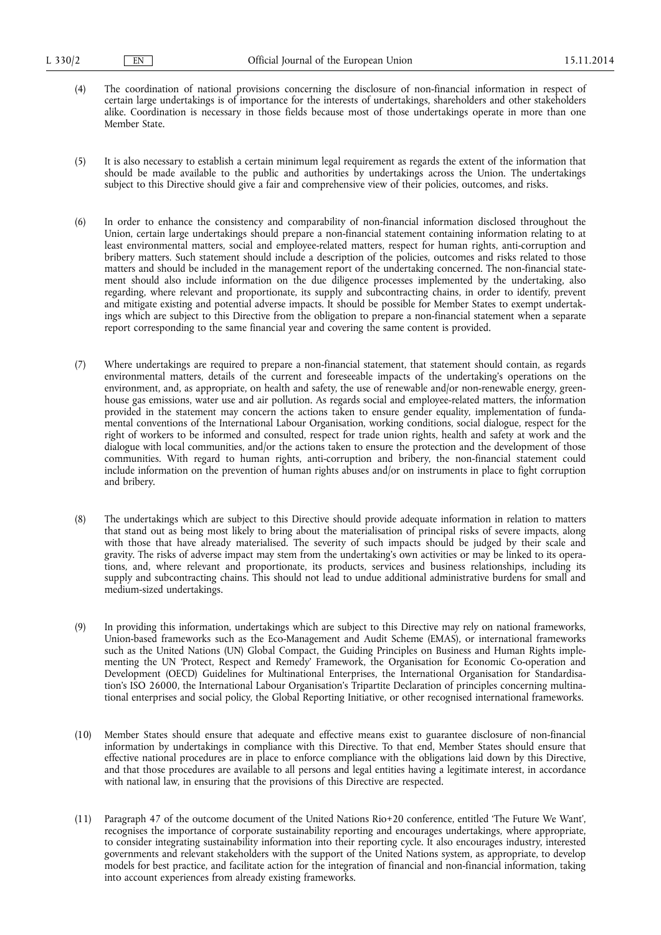- (4) The coordination of national provisions concerning the disclosure of non-financial information in respect of certain large undertakings is of importance for the interests of undertakings, shareholders and other stakeholders alike. Coordination is necessary in those fields because most of those undertakings operate in more than one Member State.
- (5) It is also necessary to establish a certain minimum legal requirement as regards the extent of the information that should be made available to the public and authorities by undertakings across the Union. The undertakings subject to this Directive should give a fair and comprehensive view of their policies, outcomes, and risks.
- (6) In order to enhance the consistency and comparability of non-financial information disclosed throughout the Union, certain large undertakings should prepare a non-financial statement containing information relating to at least environmental matters, social and employee-related matters, respect for human rights, anti-corruption and bribery matters. Such statement should include a description of the policies, outcomes and risks related to those matters and should be included in the management report of the undertaking concerned. The non-financial statement should also include information on the due diligence processes implemented by the undertaking, also regarding, where relevant and proportionate, its supply and subcontracting chains, in order to identify, prevent and mitigate existing and potential adverse impacts. It should be possible for Member States to exempt undertakings which are subject to this Directive from the obligation to prepare a non-financial statement when a separate report corresponding to the same financial year and covering the same content is provided.
- (7) Where undertakings are required to prepare a non-financial statement, that statement should contain, as regards environmental matters, details of the current and foreseeable impacts of the undertaking's operations on the environment, and, as appropriate, on health and safety, the use of renewable and/or non-renewable energy, greenhouse gas emissions, water use and air pollution. As regards social and employee-related matters, the information provided in the statement may concern the actions taken to ensure gender equality, implementation of fundamental conventions of the International Labour Organisation, working conditions, social dialogue, respect for the right of workers to be informed and consulted, respect for trade union rights, health and safety at work and the dialogue with local communities, and/or the actions taken to ensure the protection and the development of those communities. With regard to human rights, anti-corruption and bribery, the non-financial statement could include information on the prevention of human rights abuses and/or on instruments in place to fight corruption and bribery.
- (8) The undertakings which are subject to this Directive should provide adequate information in relation to matters that stand out as being most likely to bring about the materialisation of principal risks of severe impacts, along with those that have already materialised. The severity of such impacts should be judged by their scale and gravity. The risks of adverse impact may stem from the undertaking's own activities or may be linked to its operations, and, where relevant and proportionate, its products, services and business relationships, including its supply and subcontracting chains. This should not lead to undue additional administrative burdens for small and medium-sized undertakings.
- (9) In providing this information, undertakings which are subject to this Directive may rely on national frameworks, Union-based frameworks such as the Eco-Management and Audit Scheme (EMAS), or international frameworks such as the United Nations (UN) Global Compact, the Guiding Principles on Business and Human Rights implementing the UN 'Protect, Respect and Remedy' Framework, the Organisation for Economic Co-operation and Development (OECD) Guidelines for Multinational Enterprises, the International Organisation for Standardisation's ISO 26000, the International Labour Organisation's Tripartite Declaration of principles concerning multinational enterprises and social policy, the Global Reporting Initiative, or other recognised international frameworks.
- (10) Member States should ensure that adequate and effective means exist to guarantee disclosure of non-financial information by undertakings in compliance with this Directive. To that end, Member States should ensure that effective national procedures are in place to enforce compliance with the obligations laid down by this Directive, and that those procedures are available to all persons and legal entities having a legitimate interest, in accordance with national law, in ensuring that the provisions of this Directive are respected.
- (11) Paragraph 47 of the outcome document of the United Nations Rio+20 conference, entitled 'The Future We Want', recognises the importance of corporate sustainability reporting and encourages undertakings, where appropriate, to consider integrating sustainability information into their reporting cycle. It also encourages industry, interested governments and relevant stakeholders with the support of the United Nations system, as appropriate, to develop models for best practice, and facilitate action for the integration of financial and non-financial information, taking into account experiences from already existing frameworks.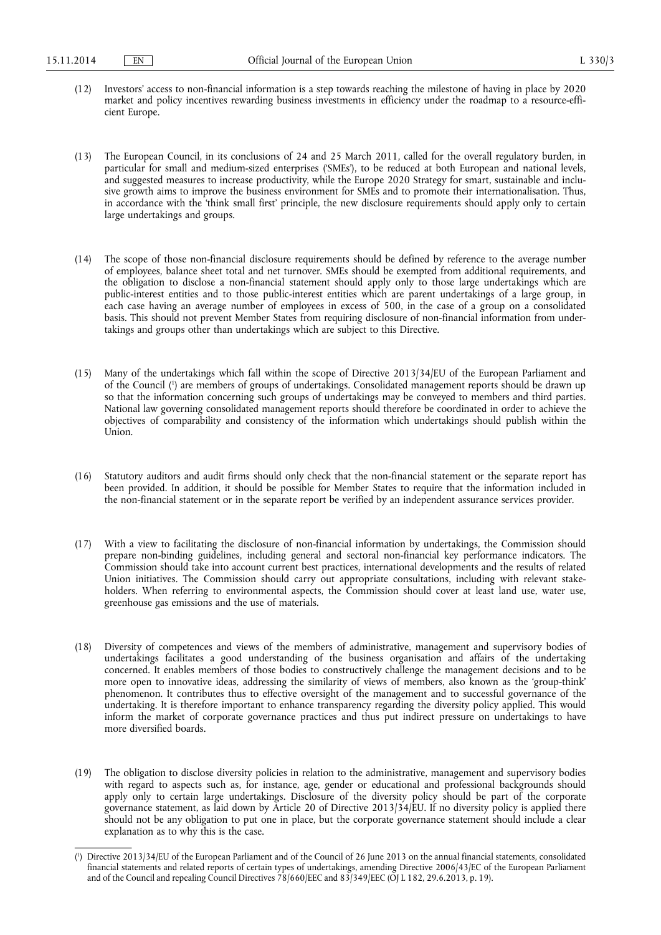- (12) Investors' access to non-financial information is a step towards reaching the milestone of having in place by 2020 market and policy incentives rewarding business investments in efficiency under the roadmap to a resource-efficient Europe.
- (13) The European Council, in its conclusions of 24 and 25 March 2011, called for the overall regulatory burden, in particular for small and medium-sized enterprises ('SMEs'), to be reduced at both European and national levels, and suggested measures to increase productivity, while the Europe 2020 Strategy for smart, sustainable and inclusive growth aims to improve the business environment for SMEs and to promote their internationalisation. Thus, in accordance with the 'think small first' principle, the new disclosure requirements should apply only to certain large undertakings and groups.
- (14) The scope of those non-financial disclosure requirements should be defined by reference to the average number of employees, balance sheet total and net turnover. SMEs should be exempted from additional requirements, and the obligation to disclose a non-financial statement should apply only to those large undertakings which are public-interest entities and to those public-interest entities which are parent undertakings of a large group, in each case having an average number of employees in excess of 500, in the case of a group on a consolidated basis. This should not prevent Member States from requiring disclosure of non-financial information from undertakings and groups other than undertakings which are subject to this Directive.
- (15) Many of the undertakings which fall within the scope of Directive 2013/34/EU of the European Parliament and of the Council ( 1 ) are members of groups of undertakings. Consolidated management reports should be drawn up so that the information concerning such groups of undertakings may be conveyed to members and third parties. National law governing consolidated management reports should therefore be coordinated in order to achieve the objectives of comparability and consistency of the information which undertakings should publish within the Union.
- (16) Statutory auditors and audit firms should only check that the non-financial statement or the separate report has been provided. In addition, it should be possible for Member States to require that the information included in the non-financial statement or in the separate report be verified by an independent assurance services provider.
- (17) With a view to facilitating the disclosure of non-financial information by undertakings, the Commission should prepare non-binding guidelines, including general and sectoral non-financial key performance indicators. The Commission should take into account current best practices, international developments and the results of related Union initiatives. The Commission should carry out appropriate consultations, including with relevant stakeholders. When referring to environmental aspects, the Commission should cover at least land use, water use, greenhouse gas emissions and the use of materials.
- (18) Diversity of competences and views of the members of administrative, management and supervisory bodies of undertakings facilitates a good understanding of the business organisation and affairs of the undertaking concerned. It enables members of those bodies to constructively challenge the management decisions and to be more open to innovative ideas, addressing the similarity of views of members, also known as the 'group-think' phenomenon. It contributes thus to effective oversight of the management and to successful governance of the undertaking. It is therefore important to enhance transparency regarding the diversity policy applied. This would inform the market of corporate governance practices and thus put indirect pressure on undertakings to have more diversified boards.
- (19) The obligation to disclose diversity policies in relation to the administrative, management and supervisory bodies with regard to aspects such as, for instance, age, gender or educational and professional backgrounds should apply only to certain large undertakings. Disclosure of the diversity policy should be part of the corporate governance statement, as laid down by Article 20 of Directive 2013/34/EU. If no diversity policy is applied there should not be any obligation to put one in place, but the corporate governance statement should include a clear explanation as to why this is the case.

<sup>(</sup> 1 ) Directive 2013/34/EU of the European Parliament and of the Council of 26 June 2013 on the annual financial statements, consolidated financial statements and related reports of certain types of undertakings, amending Directive 2006/43/EC of the European Parliament and of the Council and repealing Council Directives 78/660/EEC and 83/349/EEC (OJ L 182, 29.6.2013, p. 19).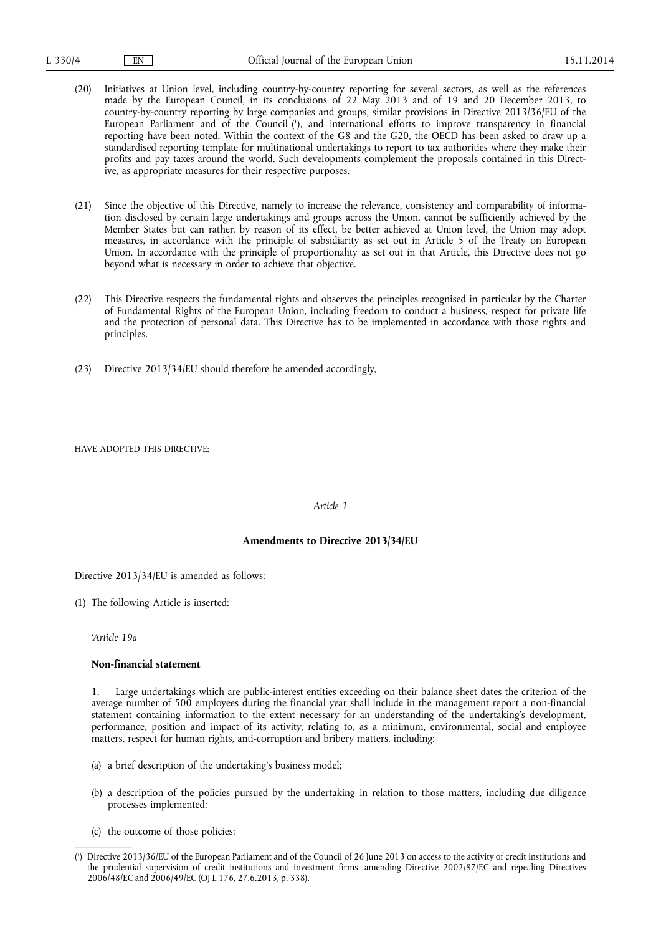- (20) Initiatives at Union level, including country-by-country reporting for several sectors, as well as the references made by the European Council, in its conclusions of 22 May 2013 and of 19 and 20 December 2013, to country-by-country reporting by large companies and groups, similar provisions in Directive 2013/36/EU of the European Parliament and of the Council ( 1 ), and international efforts to improve transparency in financial reporting have been noted. Within the context of the G8 and the G20, the OECD has been asked to draw up a standardised reporting template for multinational undertakings to report to tax authorities where they make their profits and pay taxes around the world. Such developments complement the proposals contained in this Directive, as appropriate measures for their respective purposes.
- (21) Since the objective of this Directive, namely to increase the relevance, consistency and comparability of information disclosed by certain large undertakings and groups across the Union, cannot be sufficiently achieved by the Member States but can rather, by reason of its effect, be better achieved at Union level, the Union may adopt measures, in accordance with the principle of subsidiarity as set out in Article 5 of the Treaty on European Union. In accordance with the principle of proportionality as set out in that Article, this Directive does not go beyond what is necessary in order to achieve that objective.
- (22) This Directive respects the fundamental rights and observes the principles recognised in particular by the Charter of Fundamental Rights of the European Union, including freedom to conduct a business, respect for private life and the protection of personal data. This Directive has to be implemented in accordance with those rights and principles.
- (23) Directive 2013/34/EU should therefore be amended accordingly,

HAVE ADOPTED THIS DIRECTIVE:

## *Article 1*

#### **Amendments to Directive 2013/34/EU**

Directive 2013/34/EU is amended as follows:

(1) The following Article is inserted:

*'Article 19a* 

#### **Non-financial statement**

1. Large undertakings which are public-interest entities exceeding on their balance sheet dates the criterion of the average number of 500 employees during the financial year shall include in the management report a non-financial statement containing information to the extent necessary for an understanding of the undertaking's development, performance, position and impact of its activity, relating to, as a minimum, environmental, social and employee matters, respect for human rights, anti-corruption and bribery matters, including:

- (a) a brief description of the undertaking's business model;
- (b) a description of the policies pursued by the undertaking in relation to those matters, including due diligence processes implemented;
- (c) the outcome of those policies;

<sup>(</sup> 1 ) Directive 2013/36/EU of the European Parliament and of the Council of 26 June 2013 on access to the activity of credit institutions and the prudential supervision of credit institutions and investment firms, amending Directive 2002/87/EC and repealing Directives 2006/48/EC and 2006/49/EC (OJ L 176, 27.6.2013, p. 338).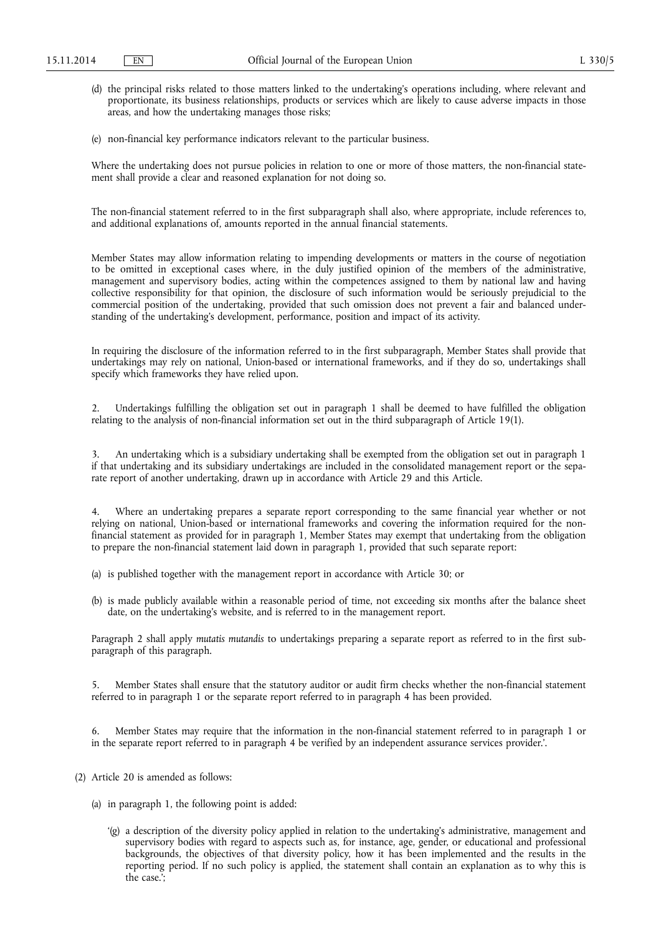- (d) the principal risks related to those matters linked to the undertaking's operations including, where relevant and proportionate, its business relationships, products or services which are likely to cause adverse impacts in those areas, and how the undertaking manages those risks;
- (e) non-financial key performance indicators relevant to the particular business.

Where the undertaking does not pursue policies in relation to one or more of those matters, the non-financial statement shall provide a clear and reasoned explanation for not doing so.

The non-financial statement referred to in the first subparagraph shall also, where appropriate, include references to, and additional explanations of, amounts reported in the annual financial statements.

Member States may allow information relating to impending developments or matters in the course of negotiation to be omitted in exceptional cases where, in the duly justified opinion of the members of the administrative, management and supervisory bodies, acting within the competences assigned to them by national law and having collective responsibility for that opinion, the disclosure of such information would be seriously prejudicial to the commercial position of the undertaking, provided that such omission does not prevent a fair and balanced understanding of the undertaking's development, performance, position and impact of its activity.

In requiring the disclosure of the information referred to in the first subparagraph, Member States shall provide that undertakings may rely on national, Union-based or international frameworks, and if they do so, undertakings shall specify which frameworks they have relied upon.

2. Undertakings fulfilling the obligation set out in paragraph 1 shall be deemed to have fulfilled the obligation relating to the analysis of non-financial information set out in the third subparagraph of Article 19(1).

3. An undertaking which is a subsidiary undertaking shall be exempted from the obligation set out in paragraph 1 if that undertaking and its subsidiary undertakings are included in the consolidated management report or the separate report of another undertaking, drawn up in accordance with Article 29 and this Article.

4. Where an undertaking prepares a separate report corresponding to the same financial year whether or not relying on national, Union-based or international frameworks and covering the information required for the nonfinancial statement as provided for in paragraph 1, Member States may exempt that undertaking from the obligation to prepare the non-financial statement laid down in paragraph 1, provided that such separate report:

- (a) is published together with the management report in accordance with Article 30; or
- (b) is made publicly available within a reasonable period of time, not exceeding six months after the balance sheet date, on the undertaking's website, and is referred to in the management report.

Paragraph 2 shall apply *mutatis mutandis* to undertakings preparing a separate report as referred to in the first subparagraph of this paragraph.

5. Member States shall ensure that the statutory auditor or audit firm checks whether the non-financial statement referred to in paragraph 1 or the separate report referred to in paragraph 4 has been provided.

6. Member States may require that the information in the non-financial statement referred to in paragraph 1 or in the separate report referred to in paragraph 4 be verified by an independent assurance services provider.'.

- (2) Article 20 is amended as follows:
	- (a) in paragraph 1, the following point is added:
		- '(g) a description of the diversity policy applied in relation to the undertaking's administrative, management and supervisory bodies with regard to aspects such as, for instance, age, gender, or educational and professional backgrounds, the objectives of that diversity policy, how it has been implemented and the results in the reporting period. If no such policy is applied, the statement shall contain an explanation as to why this is the case.';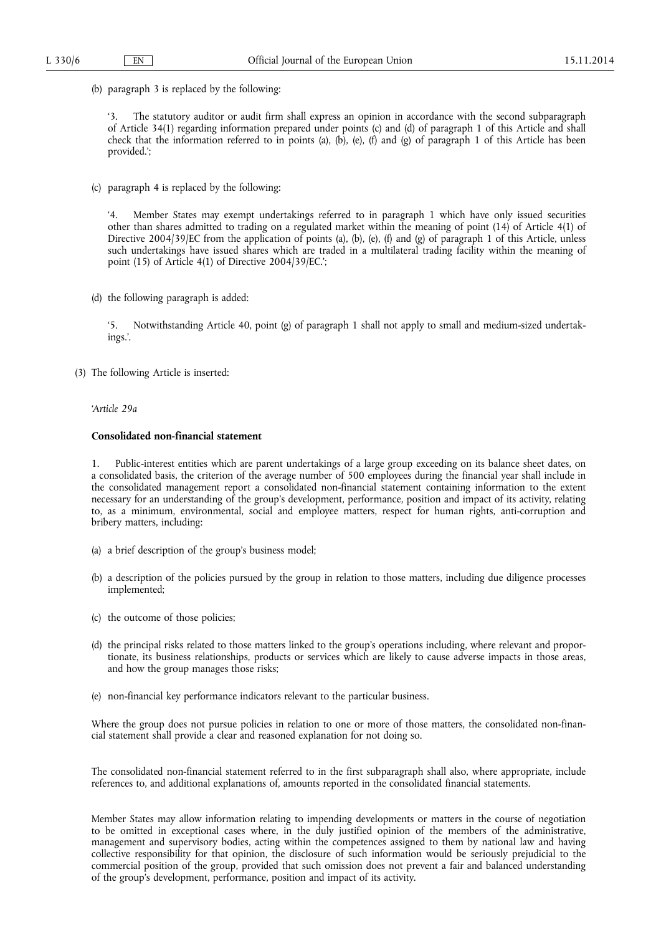(b) paragraph 3 is replaced by the following:

The statutory auditor or audit firm shall express an opinion in accordance with the second subparagraph of Article 34(1) regarding information prepared under points (c) and (d) of paragraph 1 of this Article and shall check that the information referred to in points (a), (b), (e), (f) and (g) of paragraph 1 of this Article has been provided.';

(c) paragraph 4 is replaced by the following:

'4. Member States may exempt undertakings referred to in paragraph 1 which have only issued securities other than shares admitted to trading on a regulated market within the meaning of point (14) of Article 4(1) of Directive 2004/39/EC from the application of points (a), (b), (e), (f) and (g) of paragraph 1 of this Article, unless such undertakings have issued shares which are traded in a multilateral trading facility within the meaning of point (15) of Article 4(1) of Directive 2004/39/EC.';

(d) the following paragraph is added:

'5. Notwithstanding Article 40, point (g) of paragraph 1 shall not apply to small and medium-sized undertakings.'.

(3) The following Article is inserted:

*'Article 29a* 

#### **Consolidated non-financial statement**

1. Public-interest entities which are parent undertakings of a large group exceeding on its balance sheet dates, on a consolidated basis, the criterion of the average number of 500 employees during the financial year shall include in the consolidated management report a consolidated non-financial statement containing information to the extent necessary for an understanding of the group's development, performance, position and impact of its activity, relating to, as a minimum, environmental, social and employee matters, respect for human rights, anti-corruption and bribery matters, including:

- (a) a brief description of the group's business model;
- (b) a description of the policies pursued by the group in relation to those matters, including due diligence processes implemented;
- (c) the outcome of those policies;
- (d) the principal risks related to those matters linked to the group's operations including, where relevant and proportionate, its business relationships, products or services which are likely to cause adverse impacts in those areas, and how the group manages those risks;
- (e) non-financial key performance indicators relevant to the particular business.

Where the group does not pursue policies in relation to one or more of those matters, the consolidated non-financial statement shall provide a clear and reasoned explanation for not doing so.

The consolidated non-financial statement referred to in the first subparagraph shall also, where appropriate, include references to, and additional explanations of, amounts reported in the consolidated financial statements.

Member States may allow information relating to impending developments or matters in the course of negotiation to be omitted in exceptional cases where, in the duly justified opinion of the members of the administrative, management and supervisory bodies, acting within the competences assigned to them by national law and having collective responsibility for that opinion, the disclosure of such information would be seriously prejudicial to the commercial position of the group, provided that such omission does not prevent a fair and balanced understanding of the group's development, performance, position and impact of its activity.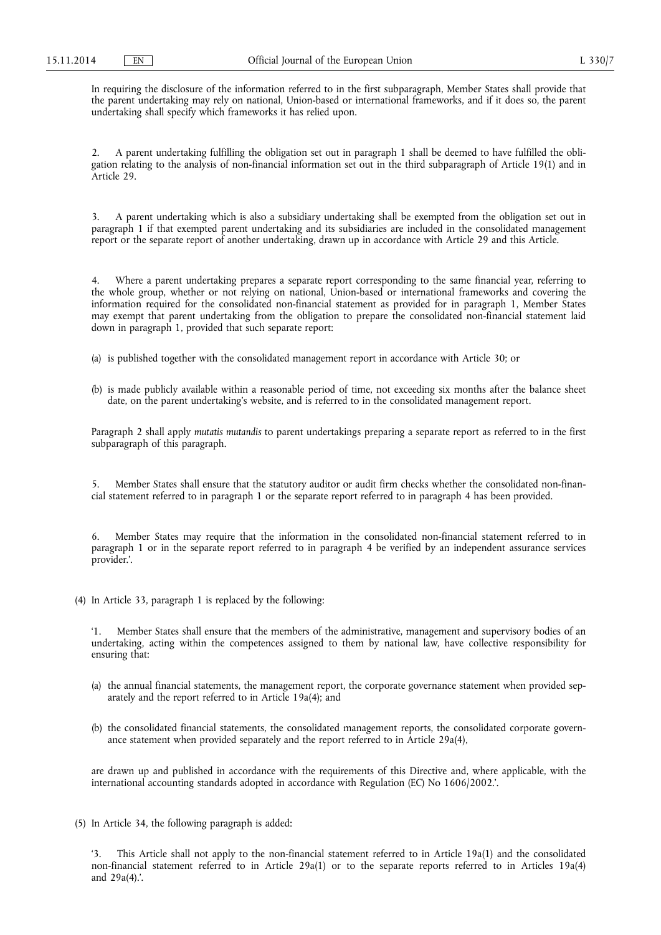In requiring the disclosure of the information referred to in the first subparagraph, Member States shall provide that the parent undertaking may rely on national, Union-based or international frameworks, and if it does so, the parent undertaking shall specify which frameworks it has relied upon.

2. A parent undertaking fulfilling the obligation set out in paragraph 1 shall be deemed to have fulfilled the obligation relating to the analysis of non-financial information set out in the third subparagraph of Article 19(1) and in Article 29.

3. A parent undertaking which is also a subsidiary undertaking shall be exempted from the obligation set out in paragraph 1 if that exempted parent undertaking and its subsidiaries are included in the consolidated management report or the separate report of another undertaking, drawn up in accordance with Article 29 and this Article.

4. Where a parent undertaking prepares a separate report corresponding to the same financial year, referring to the whole group, whether or not relying on national, Union-based or international frameworks and covering the information required for the consolidated non-financial statement as provided for in paragraph 1, Member States may exempt that parent undertaking from the obligation to prepare the consolidated non-financial statement laid down in paragraph 1, provided that such separate report:

(a) is published together with the consolidated management report in accordance with Article 30; or

(b) is made publicly available within a reasonable period of time, not exceeding six months after the balance sheet date, on the parent undertaking's website, and is referred to in the consolidated management report.

Paragraph 2 shall apply *mutatis mutandis* to parent undertakings preparing a separate report as referred to in the first subparagraph of this paragraph.

5. Member States shall ensure that the statutory auditor or audit firm checks whether the consolidated non-financial statement referred to in paragraph 1 or the separate report referred to in paragraph 4 has been provided.

6. Member States may require that the information in the consolidated non-financial statement referred to in paragraph 1 or in the separate report referred to in paragraph 4 be verified by an independent assurance services provider.'.

(4) In Article 33, paragraph 1 is replaced by the following:

'1. Member States shall ensure that the members of the administrative, management and supervisory bodies of an undertaking, acting within the competences assigned to them by national law, have collective responsibility for ensuring that:

- (a) the annual financial statements, the management report, the corporate governance statement when provided separately and the report referred to in Article 19a(4); and
- (b) the consolidated financial statements, the consolidated management reports, the consolidated corporate governance statement when provided separately and the report referred to in Article 29a(4),

are drawn up and published in accordance with the requirements of this Directive and, where applicable, with the international accounting standards adopted in accordance with Regulation (EC) No 1606/2002.'.

(5) In Article 34, the following paragraph is added:

This Article shall not apply to the non-financial statement referred to in Article 19a(1) and the consolidated non-financial statement referred to in Article 29a(1) or to the separate reports referred to in Articles 19a(4) and 29a(4).'.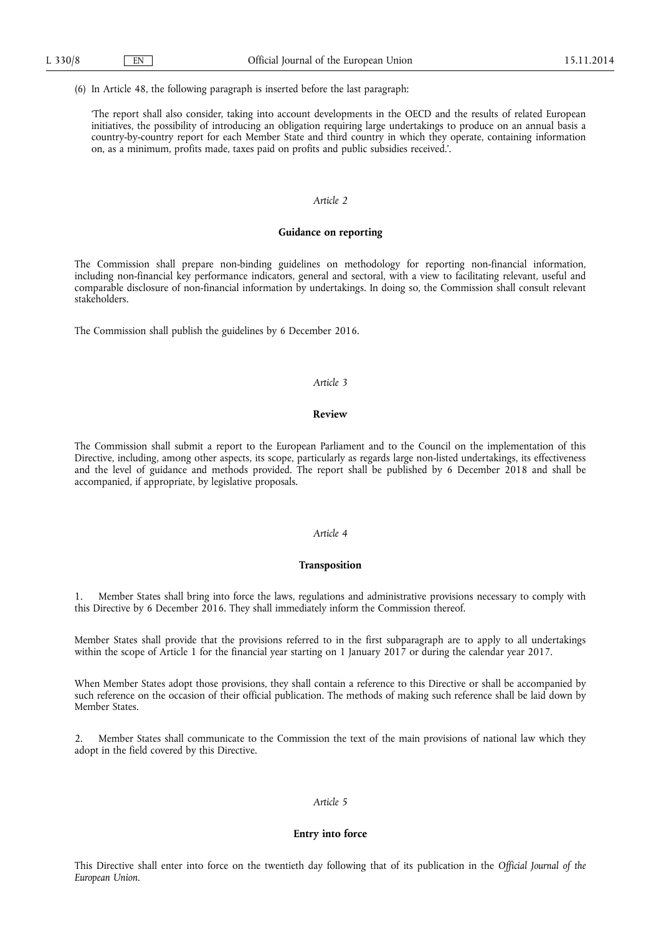(6) In Article 48, the following paragraph is inserted before the last paragraph:

'The report shall also consider, taking into account developments in the OECD and the results of related European initiatives, the possibility of introducing an obligation requiring large undertakings to produce on an annual basis a country-by-country report for each Member State and third country in which they operate, containing information on, as a minimum, profits made, taxes paid on profits and public subsidies received.'.

# *Article 2*

## **Guidance on reporting**

The Commission shall prepare non-binding guidelines on methodology for reporting non-financial information, including non-financial key performance indicators, general and sectoral, with a view to facilitating relevant, useful and comparable disclosure of non-financial information by undertakings. In doing so, the Commission shall consult relevant stakeholders.

The Commission shall publish the guidelines by 6 December 2016.

#### *Article 3*

#### **Review**

The Commission shall submit a report to the European Parliament and to the Council on the implementation of this Directive, including, among other aspects, its scope, particularly as regards large non-listed undertakings, its effectiveness and the level of guidance and methods provided. The report shall be published by 6 December 2018 and shall be accompanied, if appropriate, by legislative proposals.

## *Article 4*

#### **Transposition**

1. Member States shall bring into force the laws, regulations and administrative provisions necessary to comply with this Directive by 6 December 2016. They shall immediately inform the Commission thereof.

Member States shall provide that the provisions referred to in the first subparagraph are to apply to all undertakings within the scope of Article 1 for the financial year starting on 1 January 2017 or during the calendar year 2017.

When Member States adopt those provisions, they shall contain a reference to this Directive or shall be accompanied by such reference on the occasion of their official publication. The methods of making such reference shall be laid down by Member States.

2. Member States shall communicate to the Commission the text of the main provisions of national law which they adopt in the field covered by this Directive.

# *Article 5*

# **Entry into force**

This Directive shall enter into force on the twentieth day following that of its publication in the *Official Journal of the European Union*.